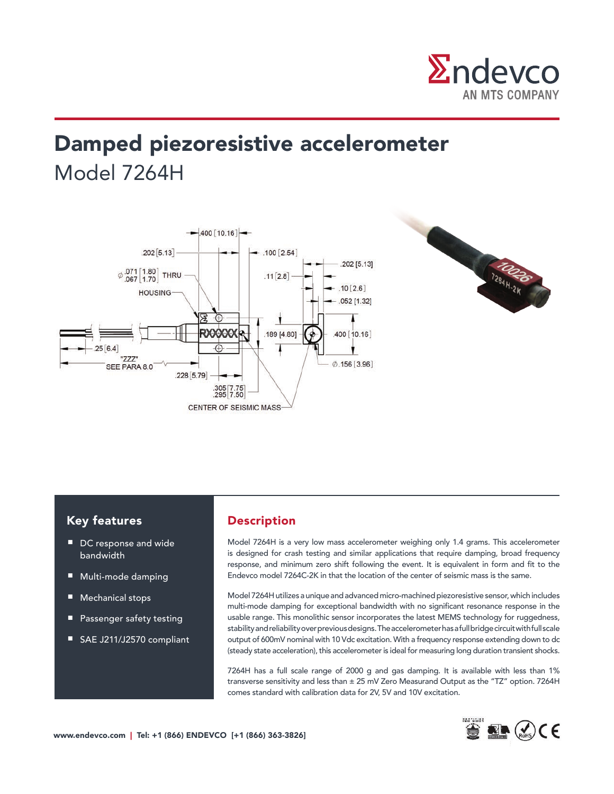

# Damped piezoresistive accelerometer Model 7264H





### Key features

- DC response and wide bandwidth
- Multi-mode damping
- Mechanical stops
- Passenger safety testing
- SAE J211/J2570 compliant

### Description

Model 7264H is a very low mass accelerometer weighing only 1.4 grams. This accelerometer is designed for crash testing and similar applications that require damping, broad frequency response, and minimum zero shift following the event. It is equivalent in form and fit to the Endevco model 7264C-2K in that the location of the center of seismic mass is the same.

Model 7264H utilizes a unique and advanced micro-machined piezoresistive sensor, which includes multi-mode damping for exceptional bandwidth with no significant resonance response in the usable range. This monolithic sensor incorporates the latest MEMS technology for ruggedness, stability and reliability over previous designs. The accelerometer has a full bridge circuit with full scale output of 600mV nominal with 10 Vdc excitation. With a frequency response extending down to dc (steady state acceleration), this accelerometer is ideal for measuring long duration transient shocks.

The contract range of 2000 g and gas damping. It is available with less than 1% (7264H has a full scale range of 2000 g and gas damping. It is available with less than 1% transverse sensitivity and less than  $\pm 25$  mV Zero Measurand Output as the "TZ" option. 7264H comes standard with calibration data for 2V, 5V and 10V excitation.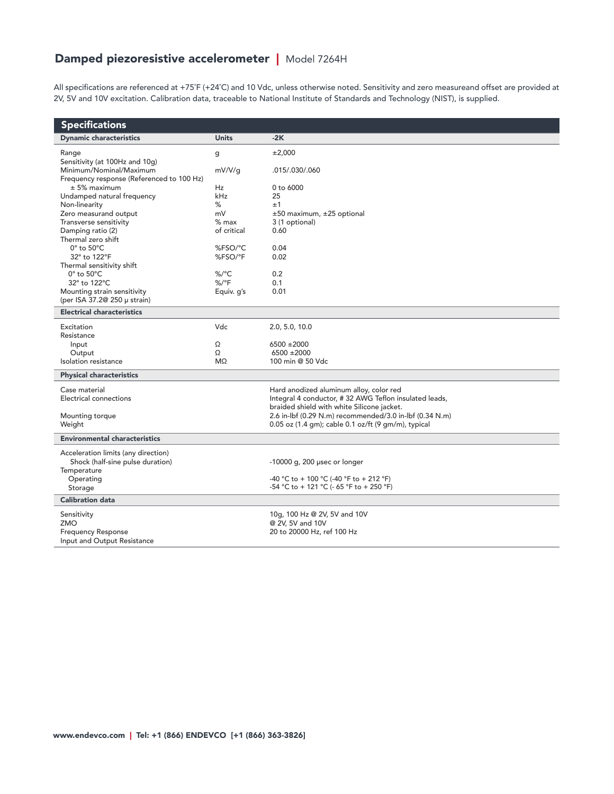## Damped piezoresistive accelerometer | Model 7264H

All specifications are referenced at +75˚F (+24˚C) and 10 Vdc, unless otherwise noted. Sensitivity and zero measureand offset are provided at 2V, 5V and 10V excitation. Calibration data, traceable to National Institute of Standards and Technology (NIST), is supplied.

| <b>Specifications</b>                     |                              |                                                         |  |  |
|-------------------------------------------|------------------------------|---------------------------------------------------------|--|--|
| <b>Dynamic characteristics</b>            | <b>Units</b>                 | $-2K$                                                   |  |  |
| Range                                     | g                            | ±2,000                                                  |  |  |
| Sensitivity (at 100Hz and 10g)            |                              |                                                         |  |  |
| Minimum/Nominal/Maximum                   | mV/V/g                       | .015/.030/.060                                          |  |  |
| Frequency response (Referenced to 100 Hz) |                              |                                                         |  |  |
| $± 5%$ maximum                            | Hz                           | $0$ to 6000                                             |  |  |
| Undamped natural frequency                | kHz<br>%                     | 25<br>±1                                                |  |  |
| Non-linearity<br>Zero measurand output    | mV                           | ±50 maximum, ±25 optional                               |  |  |
| Transverse sensitivity                    | $%$ max                      | 3 (1 optional)                                          |  |  |
| Damping ratio (2)                         | of critical                  | 0.60                                                    |  |  |
| Thermal zero shift                        |                              |                                                         |  |  |
| $0^\circ$ to $50^\circ C$                 | %FSO/°C                      | 0.04                                                    |  |  |
| 32° to 122°F                              | %FSO/°F                      | 0.02                                                    |  |  |
| Thermal sensitivity shift                 |                              |                                                         |  |  |
| $0^\circ$ to $50^\circ$ C                 | $\%$ /°C                     | 0.2                                                     |  |  |
| 32° to 122°C                              | $\frac{9}{6}$ <sup>o</sup> F | 0.1                                                     |  |  |
| Mounting strain sensitivity               | Equiv. g's                   | 0.01                                                    |  |  |
| (per ISA 37.2@ 250 µ strain)              |                              |                                                         |  |  |
| <b>Electrical characteristics</b>         |                              |                                                         |  |  |
| Excitation                                | Vdc                          | 2.0, 5.0, 10.0                                          |  |  |
| Resistance                                |                              |                                                         |  |  |
| Input                                     | Ω                            | $6500 \pm 2000$                                         |  |  |
| Output                                    | Ω                            | $6500 \pm 2000$                                         |  |  |
| Isolation resistance                      | $M\Omega$                    | 100 min @ 50 Vdc                                        |  |  |
| <b>Physical characteristics</b>           |                              |                                                         |  |  |
| Case material                             |                              | Hard anodized aluminum alloy, color red                 |  |  |
| Electrical connections                    |                              | Integral 4 conductor, #32 AWG Teflon insulated leads,   |  |  |
|                                           |                              | braided shield with white Silicone jacket.              |  |  |
| Mounting torque                           |                              | 2.6 in-lbf (0.29 N.m) recommended/3.0 in-lbf (0.34 N.m) |  |  |
| Weight                                    |                              | 0.05 oz (1.4 gm); cable 0.1 oz/ft (9 gm/m), typical     |  |  |
| <b>Environmental characteristics</b>      |                              |                                                         |  |  |
| Acceleration limits (any direction)       |                              |                                                         |  |  |
| Shock (half-sine pulse duration)          |                              | -10000 g, 200 usec or longer                            |  |  |
| Temperature                               |                              |                                                         |  |  |
| Operating                                 |                              | -40 °C to + 100 °C (-40 °F to + 212 °F)                 |  |  |
| Storage                                   |                              | -54 °C to + 121 °C (- 65 °F to + 250 °F)                |  |  |
| <b>Calibration data</b>                   |                              |                                                         |  |  |
| Sensitivity                               |                              | 10g, 100 Hz @ 2V, 5V and 10V                            |  |  |
| ZMO                                       |                              | @ 2V, 5V and 10V                                        |  |  |
| <b>Frequency Response</b>                 |                              | 20 to 20000 Hz, ref 100 Hz                              |  |  |
| Input and Output Resistance               |                              |                                                         |  |  |